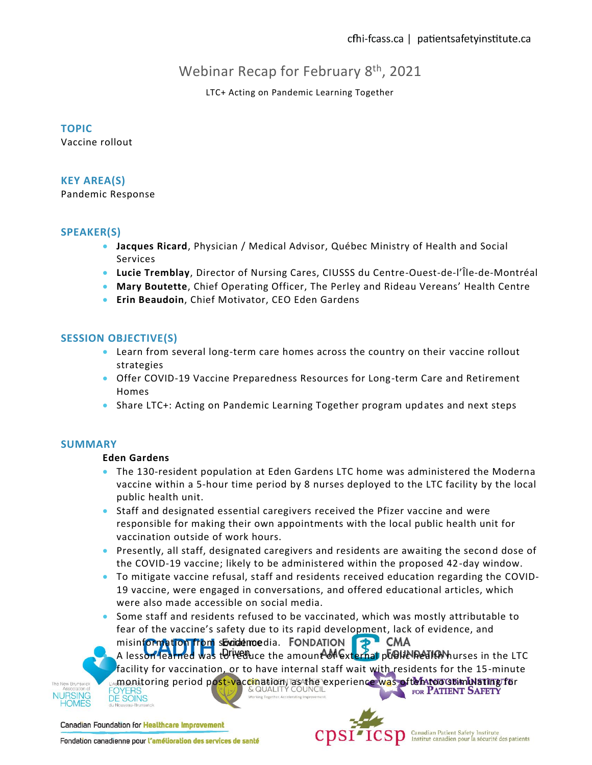# Webinar Recap for February 8<sup>th</sup>, 2021

# LTC+ Acting on Pandemic Learning Together

## **TOPIC**

Vaccine rollout

# **KEY AREA(S)**

Pandemic Response

# **SPEAKER(S)**

- **Jacques Ricard**, Physician / Medical Advisor, Québec Ministry of Health and Social Services
- **Lucie Tremblay**, Director of Nursing Cares, CIUSSS du Centre-Ouest-de-l'Île-de-Montréal
- **Mary Boutette**, Chief Operating Officer, The Perley and Rideau Vereans' Health Centre
- **Erin Beaudoin**, Chief Motivator, CEO Eden Gardens

# **SESSION OBJECTIVE(S)**

- Learn from several long-term care homes across the country on their vaccine rollout strategies
- Offer COVID-19 Vaccine Preparedness Resources for Long-term Care and Retirement Homes
- Share LTC+: Acting on Pandemic Learning Together program updates and next steps

#### **SUMMARY**

#### **Eden Gardens**

- The 130-resident population at Eden Gardens LTC home was administered the Moderna vaccine within a 5-hour time period by 8 nurses deployed to the LTC facility by the local public health unit.
- Staff and designated essential caregivers received the Pfizer vaccine and were responsible for making their own appointments with the local public health unit for vaccination outside of work hours.
- Presently, all staff, designated caregivers and residents are awaiting the second dose of the COVID-19 vaccine; likely to be administered within the proposed 42-day window.
- To mitigate vaccine refusal, staff and residents received education regarding the COVID-19 vaccine, were engaged in conversations, and offered educational articles, which were also made accessible on social media.
- Some staff and residents refused to be vaccinated, which was mostly attributable to fear of the vaccine's safety due to its rapid development, lack of evidence, and misinformation from socidance dia. FONDATION **D** CMA

A lesson learned was to reduce the amount of external public health nurses in the LTC

The New Bruns **NURSING** 

facility for vaccination, or to have internal staff wait with residents for the 15-minute monitoring period post-vaccination) as the experience was often too stimulating for **JYERS DE SOINS** 

Canadian Foundation for Healthcare Improvement



Fondation canadienne pour l'amélioration des services de santé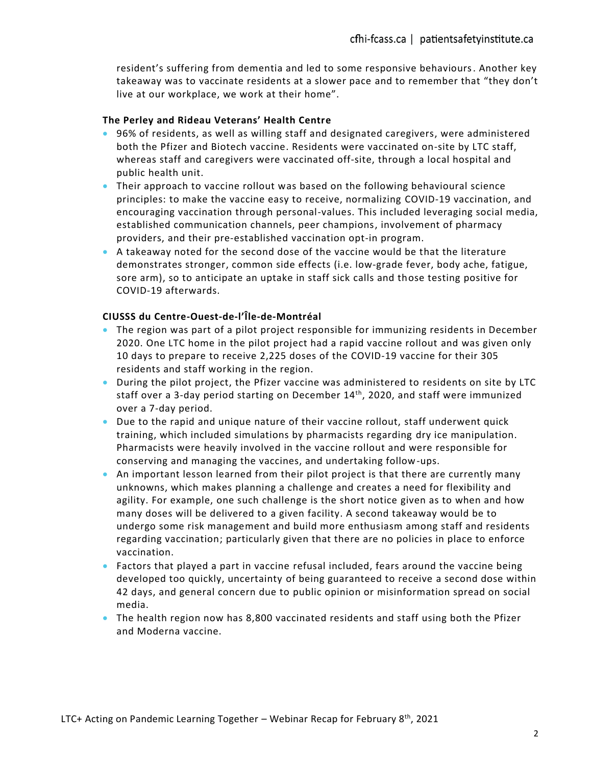resident's suffering from dementia and led to some responsive behaviours. Another key takeaway was to vaccinate residents at a slower pace and to remember that "they don't live at our workplace, we work at their home".

## **The Perley and Rideau Veterans' Health Centre**

- 96% of residents, as well as willing staff and designated caregivers, were administered both the Pfizer and Biotech vaccine. Residents were vaccinated on-site by LTC staff, whereas staff and caregivers were vaccinated off-site, through a local hospital and public health unit.
- Their approach to vaccine rollout was based on the following behavioural science principles: to make the vaccine easy to receive, normalizing COVID-19 vaccination, and encouraging vaccination through personal-values. This included leveraging social media, established communication channels, peer champions, involvement of pharmacy providers, and their pre-established vaccination opt-in program.
- A takeaway noted for the second dose of the vaccine would be that the literature demonstrates stronger, common side effects (i.e. low-grade fever, body ache, fatigue, sore arm), so to anticipate an uptake in staff sick calls and those testing positive for COVID-19 afterwards.

# **CIUSSS du Centre-Ouest-de-l'Île-de-Montréal**

- The region was part of a pilot project responsible for immunizing residents in December 2020. One LTC home in the pilot project had a rapid vaccine rollout and was given only 10 days to prepare to receive 2,225 doses of the COVID-19 vaccine for their 305 residents and staff working in the region.
- During the pilot project, the Pfizer vaccine was administered to residents on site by LTC staff over a 3-day period starting on December 14<sup>th</sup>, 2020, and staff were immunized over a 7-day period.
- Due to the rapid and unique nature of their vaccine rollout, staff underwent quick training, which included simulations by pharmacists regarding dry ice manipulation. Pharmacists were heavily involved in the vaccine rollout and were responsible for conserving and managing the vaccines, and undertaking follow-ups.
- An important lesson learned from their pilot project is that there are currently many unknowns, which makes planning a challenge and creates a need for flexibility and agility. For example, one such challenge is the short notice given as to when and how many doses will be delivered to a given facility. A second takeaway would be to undergo some risk management and build more enthusiasm among staff and residents regarding vaccination; particularly given that there are no policies in place to enforce vaccination.
- Factors that played a part in vaccine refusal included, fears around the vaccine being developed too quickly, uncertainty of being guaranteed to receive a second dose within 42 days, and general concern due to public opinion or misinformation spread on social media.
- The health region now has 8,800 vaccinated residents and staff using both the Pfizer and Moderna vaccine.